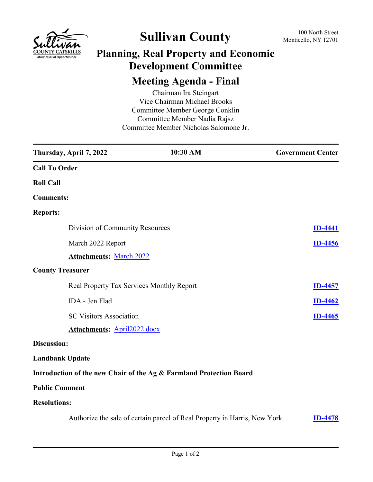

## **Sullivan County** 100 North Street 100 North Street

## **Planning, Real Property and Economic Development Committee**

## **Meeting Agenda - Final**

Chairman Ira Steingart Vice Chairman Michael Brooks Committee Member George Conklin Committee Member Nadia Rajsz Committee Member Nicholas Salomone Jr.

|                         | Thursday, April 7, 2022                   | 10:30 AM                                                                  | <b>Government Center</b> |
|-------------------------|-------------------------------------------|---------------------------------------------------------------------------|--------------------------|
| <b>Call To Order</b>    |                                           |                                                                           |                          |
| <b>Roll Call</b>        |                                           |                                                                           |                          |
| <b>Comments:</b>        |                                           |                                                                           |                          |
| <b>Reports:</b>         |                                           |                                                                           |                          |
|                         | Division of Community Resources           |                                                                           | <b>ID-4441</b>           |
|                         | March 2022 Report                         |                                                                           | <b>ID-4456</b>           |
|                         | <b>Attachments: March 2022</b>            |                                                                           |                          |
| <b>County Treasurer</b> |                                           |                                                                           |                          |
|                         | Real Property Tax Services Monthly Report |                                                                           | <b>ID-4457</b>           |
|                         | IDA - Jen Flad                            |                                                                           | <b>ID-4462</b>           |
|                         | <b>SC Visitors Association</b>            |                                                                           | <b>ID-4465</b>           |
|                         | <b>Attachments: April2022.docx</b>        |                                                                           |                          |
| Discussion:             |                                           |                                                                           |                          |
| <b>Landbank Update</b>  |                                           |                                                                           |                          |
|                         |                                           | Introduction of the new Chair of the Ag & Farmland Protection Board       |                          |
| <b>Public Comment</b>   |                                           |                                                                           |                          |
| <b>Resolutions:</b>     |                                           |                                                                           |                          |
|                         |                                           | Authorize the sale of certain parcel of Real Property in Harris, New York | <b>ID-4478</b>           |